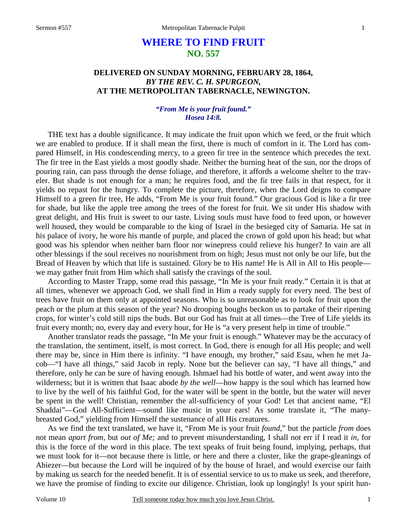# **WHERE TO FIND FRUIT NO. 557**

## **DELIVERED ON SUNDAY MORNING, FEBRUARY 28, 1864,**  *BY THE REV. C. H. SPURGEON,*  **AT THE METROPOLITAN TABERNACLE, NEWINGTON.**

#### *"From Me is your fruit found." Hosea 14:8.*

THE text has a double significance. It may indicate the fruit upon which we feed, or the fruit which we are enabled to produce. If it shall mean the first, there is much of comfort in it. The Lord has compared Himself, in His condescending mercy, to a green fir tree in the sentence which precedes the text. The fir tree in the East yields a most goodly shade. Neither the burning heat of the sun, nor the drops of pouring rain, can pass through the dense foliage, and therefore, it affords a welcome shelter to the traveler. But shade is not enough for a man; he requires food, and the fir tree fails in that respect, for it yields no repast for the hungry. To complete the picture, therefore, when the Lord deigns to compare Himself to a green fir tree, He adds, "From Me is your fruit found." Our gracious God is like a fir tree for shade, but like the apple tree among the trees of the forest for fruit. We sit under His shadow with great delight, and His fruit is sweet to our taste. Living souls must have food to feed upon, or however well housed, they would be comparable to the king of Israel in the besieged city of Samaria. He sat in his palace of ivory, he wore his mantle of purple, and placed the crown of gold upon his head; but what good was his splendor when neither barn floor nor winepress could relieve his hunger? In vain are all other blessings if the soul receives no nourishment from on high; Jesus must not only be our life, but the Bread of Heaven by which that life is sustained. Glory be to His name! He is All in All to His people we may gather fruit from Him which shall satisfy the cravings of the soul.

According to Master Trapp, some read this passage, "In Me is your fruit ready." Certain it is that at all times, whenever we approach God, we shall find in Him a ready supply for every need. The best of trees have fruit on them only at appointed seasons. Who is so unreasonable as to look for fruit upon the peach or the plum at this season of the year? No drooping boughs beckon us to partake of their ripening crops, for winter's cold still nips the buds. But our God has fruit at all times—the Tree of Life yields its fruit every month; no, every day and every hour, for He is "a very present help in time of trouble."

Another translator reads the passage, "In Me your fruit is enough." Whatever may be the accuracy of the translation, the sentiment, itself, is most correct. In God, there is enough for all His people; and well there may be, since in Him there is infinity. "I have enough, my brother," said Esau, when he met Jacob—"I have all things," said Jacob in reply. None but the believer can say, "I have all things," and therefore, only he can be sure of having enough. Ishmael had his bottle of water, and went away into the wilderness; but it is written that Isaac abode *by the well*—how happy is the soul which has learned how to live by the well of his faithful God, for the water will be spent in the bottle, but the water will never be spent in the well! Christian, remember the all-sufficiency of your God! Let that ancient name, "El Shaddai"—God All-Sufficient—sound like music in your ears! As some translate it, "The manybreasted God," yielding from Himself the sustenance of all His creatures.

As we find the text translated, we have it, "From Me is your fruit *found*," but the particle *from* does not mean *apart from,* but *out of Me;* and to prevent misunderstanding, I shall not err if I read it *in,* for this is the force of the word in this place. The text speaks of fruit being found, implying, perhaps, that we must look for it—not because there is little, or here and there a cluster, like the grape-gleanings of Abiezer—but because the Lord will be inquired of by the house of Israel, and would exercise our faith by making us search for the needed benefit. It is of essential service to us to make us seek, and therefore, we have the promise of finding to excite our diligence. Christian, look up longingly! Is your spirit hun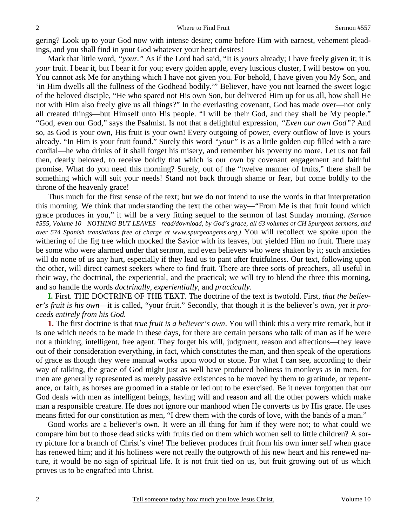gering? Look up to your God now with intense desire; come before Him with earnest, vehement pleadings, and you shall find in your God whatever your heart desires!

Mark that little word, *"your."* As if the Lord had said, "It is *yours* already; I have freely given it; it is *your* fruit. I bear it, but I bear it for you; every golden apple, every luscious cluster, I will bestow on you. You cannot ask Me for anything which I have not given you. For behold, I have given you My Son, and 'in Him dwells all the fullness of the Godhead bodily.'" Believer, have you not learned the sweet logic of the beloved disciple, "He who spared not His own Son, but delivered Him up for us all, how shall He not with Him also freely give us all things?" In the everlasting covenant, God has made over—not only all created things—but Himself unto His people. "I will be their God, and they shall be My people." "God, even our God," says the Psalmist. Is not that a delightful expression, *"Even our own God"?* And so, as God is your own, His fruit is your own! Every outgoing of power, every outflow of love is yours already. "In Him is your fruit found." Surely this word *"your"* is as a little golden cup filled with a rare cordial—he who drinks of it shall forget his misery, and remember his poverty no more. Let us not fail then, dearly beloved, to receive boldly that which is our own by covenant engagement and faithful promise. What do you need this morning? Surely, out of the "twelve manner of fruits," there shall be something which will suit your needs! Stand not back through shame or fear, but come boldly to the throne of the heavenly grace!

Thus much for the first sense of the text; but we do not intend to use the words in that interpretation this morning. We think that understanding the text the other way—"From Me is that fruit found which grace produces in you," it will be a very fitting sequel to the sermon of last Sunday morning. *(Sermon #555, Volume 10—NOTHING BUT LEAVES—read/download, by God's grace, all 63 volumes of CH Spurgeon sermons, and over 574 Spanish translations free of charge at www.spurgeongems.org.)* You will recollect we spoke upon the withering of the fig tree which mocked the Savior with its leaves, but yielded Him no fruit. There may be some who were alarmed under that sermon, and even believers who were shaken by it; such anxieties will do none of us any hurt, especially if they lead us to pant after fruitfulness. Our text, following upon the other, will direct earnest seekers where to find fruit. There are three sorts of preachers, all useful in their way, the doctrinal, the experiential, and the practical; we will try to blend the three this morning, and so handle the words *doctrinally, experientially,* and *practically*.

**I.** First. THE DOCTRINE OF THE TEXT. The doctrine of the text is twofold. First, *that the believer's fruit is his own*—it is called, "your fruit." Secondly, that though it is the believer's own, *yet it proceeds entirely from his God.*

**1.** The first doctrine is that *true fruit is a believer's own*. You will think this a very trite remark, but it is one which needs to be made in these days, for there are certain persons who talk of man as if he were not a thinking, intelligent, free agent. They forget his will, judgment, reason and affections—they leave out of their consideration everything, in fact, which constitutes the man, and then speak of the operations of grace as though they were manual works upon wood or stone. For what I can see, according to their way of talking, the grace of God might just as well have produced holiness in monkeys as in men, for men are generally represented as merely passive existences to be moved by them to gratitude, or repentance, or faith, as horses are groomed in a stable or led out to be exercised. Be it never forgotten that our God deals with men as intelligent beings, having will and reason and all the other powers which make man a responsible creature. He does not ignore our manhood when He converts us by His grace. He uses means fitted for our constitution as men, "I drew them with the cords of love, with the bands of a man."

Good works are a believer's own. It were an ill thing for him if they were not; to what could we compare him but to those dead sticks with fruits tied on them which women sell to little children? A sorry picture for a branch of Christ's vine! The believer produces fruit from his own inner self when grace has renewed him; and if his holiness were not really the outgrowth of his new heart and his renewed nature, it would be no sign of spiritual life. It is not fruit tied on us, but fruit growing out of us which proves us to be engrafted into Christ.

2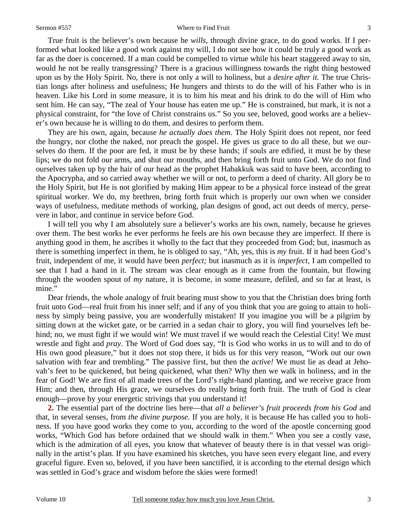#### Sermon #557 Where to Find Fruit

True fruit is the believer's own because he *wills*, through divine grace, to do good works. If I performed what looked like a good work against my will, I do not see how it could be truly a good work as far as the doer is concerned. If a man could be compelled to virtue while his heart staggered away to sin, would he not be really transgressing? There is a gracious willingness towards the right thing bestowed upon us by the Holy Spirit. No, there is not only a will to holiness, but a *desire after it.* The true Christian longs after holiness and usefulness; He hungers and thirsts to do the will of his Father who is in heaven. Like his Lord in some measure, it is to him his meat and his drink to do the will of Him who sent him. He can say, "The zeal of Your house has eaten me up." He is constrained, but mark, it is not a physical constraint, for "the love of Christ constrains us." So you see, beloved, good works are a believer's own because he is willing to do them, and desires to perform them.

They are his own, again, because *he actually does them*. The Holy Spirit does not repent, nor feed the hungry, nor clothe the naked, nor preach the gospel. He gives us grace to do all these, but we ourselves do them. If the poor are fed, it must be by these hands; if souls are edified, it must be by these lips; we do not fold our arms, and shut our mouths, and then bring forth fruit unto God. We do not find ourselves taken up by the hair of our head as the prophet Habakkuk was said to have been, according to the Apocrypha, and so carried away whether we will or not, to perform a deed of charity. All glory be to the Holy Spirit, but He is not glorified by making Him appear to be a physical force instead of the great spiritual worker. We do, my brethren, bring forth fruit which is properly our own when we consider ways of usefulness, meditate methods of working, plan designs of good, act out deeds of mercy, persevere in labor, and continue in service before God.

I will tell you why I am absolutely sure a believer's works are his own, namely, because he grieves over them. The best works he ever performs he feels are his own because they are imperfect. If there is anything good in them, he ascribes it wholly to the fact that they proceeded from God; but, inasmuch as there is something imperfect in them, he is obliged to say, "Ah, yes, this is *my* fruit. If it had been God's fruit, independent of me, it would have been *perfect;* but inasmuch as it is *imperfect,* I am compelled to see that I had a hand in it. The stream was clear enough as it came from the fountain, but flowing through the wooden spout of *my* nature, it is become, in some measure, defiled, and so far at least, is mine."

Dear friends, the whole analogy of fruit bearing must show to you that the Christian does bring forth fruit unto God—real fruit from his inner self; and if any of you think that you are going to attain to holiness by simply being passive, you are wonderfully mistaken! If you imagine you will be a pilgrim by sitting down at the wicket gate, or be carried in a sedan chair to glory, you will find yourselves left behind; no, we must fight if we would win! We must travel if we would reach the Celestial City! We must wrestle and fight and *pray*. The Word of God does say, "It is God who works in us to will and to do of His own good pleasure," but it does not stop there, it bids us for this very reason, "Work out our own salvation with fear and trembling." The passive first, but then the *active!* We must lie as dead at Jehovah's feet to be quickened, but being quickened, what then? Why then we walk in holiness, and in the fear of God! We are first of all made trees of the Lord's right-hand planting, and we receive grace from Him; and then, through His grace, we ourselves do really bring forth fruit. The truth of God is clear enough—prove by your energetic strivings that you understand it!

**2.** The essential part of the doctrine lies here—that *all a believer's fruit proceeds from his God* and that, in several senses, from *the divine purpose*. If you are holy, it is because He has called you to holiness. If you have good works they come to you, according to the word of the apostle concerning good works, "Which God has before ordained that we should walk in them." When you see a costly vase, which is the admiration of all eyes, you know that whatever of beauty there is in that vessel was originally in the artist's plan. If you have examined his sketches, you have seen every elegant line, and every graceful figure. Even so, beloved, if you have been sanctified, it is according to the eternal design which was settled in God's grace and wisdom before the skies were formed!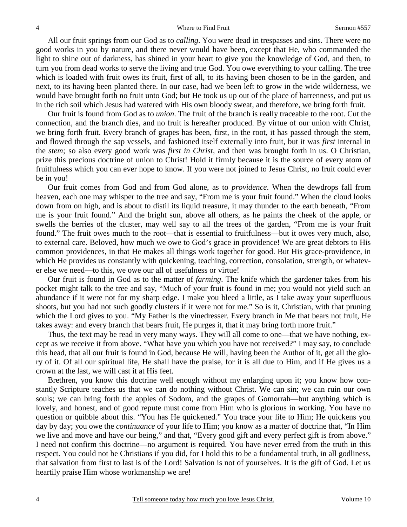All our fruit springs from our God as to *calling*. You were dead in trespasses and sins. There were no good works in you by nature, and there never would have been, except that He, who commanded the light to shine out of darkness, has shined in your heart to give you the knowledge of God, and then, to turn you from dead works to serve the living and true God. You owe everything to your calling. The tree which is loaded with fruit owes its fruit, first of all, to its having been chosen to be in the garden, and next, to its having been planted there. In our case, had we been left to grow in the wide wilderness, we would have brought forth no fruit unto God; but He took us up out of the place of barrenness, and put us in the rich soil which Jesus had watered with His own bloody sweat, and therefore, we bring forth fruit.

Our fruit is found from God as to *union*. The fruit of the branch is really traceable to the root. Cut the connection, and the branch dies, and no fruit is hereafter produced. By virtue of our union with Christ, we bring forth fruit. Every branch of grapes has been, first, in the root, it has passed through the stem, and flowed through the sap vessels, and fashioned itself externally into fruit, but it was *first* internal in the *stem;* so also every good work was *first in Christ,* and then was brought forth in us. O Christian, prize this precious doctrine of union to Christ! Hold it firmly because it is the source of every atom of fruitfulness which you can ever hope to know. If you were not joined to Jesus Christ, no fruit could ever be in you!

Our fruit comes from God and from God alone, as to *providence*. When the dewdrops fall from heaven, each one may whisper to the tree and say, "From me is your fruit found." When the cloud looks down from on high, and is about to distil its liquid treasure, it may thunder to the earth beneath, "From me is your fruit found." And the bright sun, above all others, as he paints the cheek of the apple, or swells the berries of the cluster, may well say to all the trees of the garden, "From me is your fruit found." The fruit owes much to the root—that is essential to fruitfulness—but it owes very much, also, to external care. Beloved, how much we owe to God's grace in providence! We are great debtors to His common providences, in that He makes all things work together for good. But His grace-providence, in which He provides us constantly with quickening, teaching, correction, consolation, strength, or whatever else we need—to this, we owe our all of usefulness or virtue!

Our fruit is found in God as to the matter of *farming*. The knife which the gardener takes from his pocket might talk to the tree and say, "Much of your fruit is found in me; you would not yield such an abundance if it were not for my sharp edge. I make you bleed a little, as I take away your superfluous shoots, but you had not such goodly clusters if it were not for me." So is it, Christian, with that pruning which the Lord gives to you. "My Father is the vinedresser. Every branch in Me that bears not fruit, He takes away: and every branch that bears fruit, He purges it, that it may bring forth more fruit."

Thus, the text may be read in very many ways. They will all come to one—that we have nothing, except as we receive it from above. "What have you which you have not received?" I may say, to conclude this head, that all our fruit is found in God, because He will, having been the Author of it, get all the glory of it. Of all our spiritual life, He shall have the praise, for it is all due to Him, and if He gives us a crown at the last, we will cast it at His feet.

Brethren, you know this doctrine well enough without my enlarging upon it; you know how constantly Scripture teaches us that we can do nothing without Christ. We can sin; we can ruin our own souls; we can bring forth the apples of Sodom, and the grapes of Gomorrah—but anything which is lovely, and honest, and of good repute must come from Him who is glorious in working. You have no question or quibble about this. "You has He quickened." You trace your life to Him; He quickens you day by day; you owe the *continuance* of your life to Him; you know as a matter of doctrine that, "In Him we live and move and have our being," and that, "Every good gift and every perfect gift is from above." I need not confirm this doctrine—no argument is required. You have never erred from the truth in this respect. You could not be Christians if you did, for I hold this to be a fundamental truth, in all godliness, that salvation from first to last is of the Lord! Salvation is not of yourselves. It is the gift of God. Let us heartily praise Him whose workmanship we are!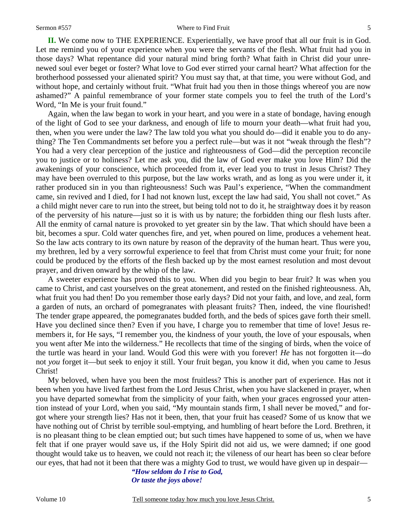**II.** We come now to THE EXPERIENCE. Experientially, we have proof that all our fruit is in God. Let me remind you of your experience when you were the servants of the flesh. What fruit had you in those days? What repentance did your natural mind bring forth? What faith in Christ did your unrenewed soul ever beget or foster? What love to God ever stirred your carnal heart? What affection for the brotherhood possessed your alienated spirit? You must say that, at that time, you were without God, and without hope, and certainly without fruit. "What fruit had you then in those things whereof you are now ashamed?" A painful remembrance of your former state compels you to feel the truth of the Lord's Word, "In Me is your fruit found."

Again, when the law began to work in your heart, and you were in a state of bondage, having enough of the light of God to see your darkness, and enough of life to mourn your death—what fruit had you, then, when you were under the law? The law told you what you should do—did it enable you to do anything? The Ten Commandments set before you a perfect rule—but was it not "weak through the flesh"? You had a very clear perception of the justice and righteousness of God—did the perception reconcile you to justice or to holiness? Let me ask you, did the law of God ever make you love Him? Did the awakenings of your conscience, which proceeded from it, ever lead you to trust in Jesus Christ? They may have been overruled to this purpose, but the law works wrath, and as long as you were under it, it rather produced sin in you than righteousness! Such was Paul's experience, "When the commandment came, sin revived and I died, for I had not known lust, except the law had said, You shall not covet." As a child might never care to run into the street, but being told not to do it, he straightway does it by reason of the perversity of his nature—just so it is with us by nature; the forbidden thing our flesh lusts after. All the enmity of carnal nature is provoked to yet greater sin by the law. That which should have been a bit, becomes a spur. Cold water quenches fire, and yet, when poured on lime, produces a vehement heat. So the law acts contrary to its own nature by reason of the depravity of the human heart. Thus were you, my brethren, led by a very sorrowful experience to feel that from Christ must come your fruit; for none could be produced by the efforts of the flesh backed up by the most earnest resolution and most devout prayer, and driven onward by the whip of the law.

A sweeter experience has proved this to you. When did you begin to bear fruit? It was when you came to Christ, and cast yourselves on the great atonement, and rested on the finished righteousness. Ah, what fruit you had then! Do you remember those early days? Did not your faith, and love, and zeal, form a garden of nuts, an orchard of pomegranates with pleasant fruits? Then, indeed, the vine flourished! The tender grape appeared, the pomegranates budded forth, and the beds of spices gave forth their smell. Have you declined since then? Even if you have, I charge you to remember that time of love! Jesus remembers it, for He says, "I remember you, the kindness of your youth, the love of your espousals, when you went after Me into the wilderness." He recollects that time of the singing of birds, when the voice of the turtle was heard in your land. Would God this were with you forever! *He* has not forgotten it—do not *you* forget it—but seek to enjoy it still. Your fruit began, you know it did, when you came to Jesus Christ!

My beloved, when have you been the most fruitless? This is another part of experience. Has not it been when you have lived farthest from the Lord Jesus Christ, when you have slackened in prayer, when you have departed somewhat from the simplicity of your faith, when your graces engrossed your attention instead of your Lord, when you said, "My mountain stands firm, I shall never be moved," and forgot where your strength lies? Has not it been, then, that your fruit has ceased? Some of us know that we have nothing out of Christ by terrible soul-emptying, and humbling of heart before the Lord. Brethren, it is no pleasant thing to be clean emptied out; but such times have happened to some of us, when we have felt that if one prayer would save us, if the Holy Spirit did not aid us, we were damned; if one good thought would take us to heaven, we could not reach it; the vileness of our heart has been so clear before our eyes, that had not it been that there was a mighty God to trust, we would have given up in despair—

> *"How seldom do I rise to God, Or taste the joys above!*

5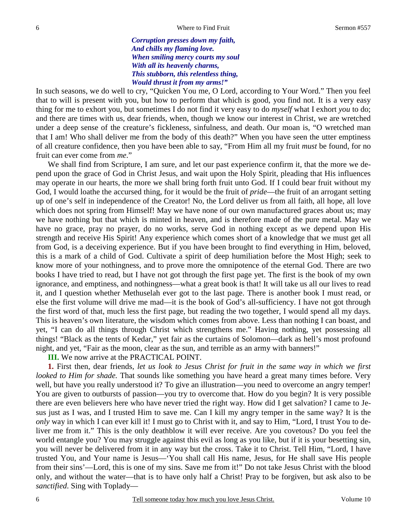*Corruption presses down my faith, And chills my flaming love. When smiling mercy courts my soul With all its heavenly charms, This stubborn, this relentless thing, Would thrust it from my arms!"* 

In such seasons, we do well to cry, "Quicken You me, O Lord, according to Your Word." Then you feel that to will is present with you, but how to perform that which is good, you find not. It is a very easy thing for me to exhort you, but sometimes I do not find it very easy to do *myself* what I exhort *you* to do; and there are times with us, dear friends, when, though we know our interest in Christ, we are wretched under a deep sense of the creature's fickleness, sinfulness, and death. Our moan is, "O wretched man that I am! Who shall deliver me from the body of this death?" When you have seen the utter emptiness of all creature confidence, then you have been able to say, "From Him all my fruit *must* be found, for no fruit can ever come from *me*."

We shall find from Scripture, I am sure, and let our past experience confirm it, that the more we depend upon the grace of God in Christ Jesus, and wait upon the Holy Spirit, pleading that His influences may operate in our hearts, the more we shall bring forth fruit unto God. If I could bear fruit without my God, I would loathe the accursed thing, for it would be the fruit of *pride*—the fruit of an arrogant setting up of one's self in independence of the Creator! No, the Lord deliver us from all faith, all hope, all love which does not spring from Himself! May we have none of our own manufactured graces about us; may we have nothing but that which is minted in heaven, and is therefore made of the pure metal. May we have no grace, pray no prayer, do no works, serve God in nothing except as we depend upon His strength and receive His Spirit! Any experience which comes short of a knowledge that we must get all from God, is a deceiving experience. But if you have been brought to find everything in Him, beloved, this is a mark of a child of God. Cultivate a spirit of deep humiliation before the Most High; seek to know more of your nothingness, and to prove more the omnipotence of the eternal God. There are two books I have tried to read, but I have not got through the first page yet. The first is the book of my own ignorance, and emptiness, and nothingness—what a great book is that! It will take us all our lives to read it, and I question whether Methuselah ever got to the last page. There is another book I must read, or else the first volume will drive me mad—it is the book of God's all-sufficiency. I have not got through the first word of that, much less the first page, but reading the two together, I would spend all my days. This is heaven's own literature, the wisdom which comes from above. Less than nothing I can boast, and yet, "I can do all things through Christ which strengthens me." Having nothing, yet possessing all things! "Black as the tents of Kedar," yet fair as the curtains of Solomon—dark as hell's most profound night, and yet, "Fair as the moon, clear as the sun, and terrible as an army with banners!"

**III.** We now arrive at the PRACTICAL POINT.

**1.** First then, dear friends, *let us look to Jesus Christ for fruit in the same way in which we first looked to Him for shade.* That sounds like something you have heard a great many times before. Very well, but have you really understood it? To give an illustration—you need to overcome an angry temper! You are given to outbursts of passion—you try to overcome that. How do you begin? It is very possible there are even believers here who have never tried the right way. How did I get salvation? I came to Jesus just as I was, and I trusted Him to save me. Can I kill my angry temper in the same way? It is the *only* way in which I can ever kill it! I must go to Christ with it, and say to Him, "Lord, I trust You to deliver me from it." This is the only deathblow it will ever receive. Are you covetous? Do you feel the world entangle you? You may struggle against this evil as long as you like, but if it is your besetting sin, you will never be delivered from it in any way but the cross. Take it to Christ. Tell Him, "Lord, I have trusted You, and Your name is Jesus—'You shall call His name, Jesus, for He shall save His people from their sins'—Lord, this is one of my sins. Save me from it!" Do not take Jesus Christ with the blood only, and without the water—that is to have only half a Christ! Pray to be forgiven, but ask also to be *sanctified*. Sing with Toplady—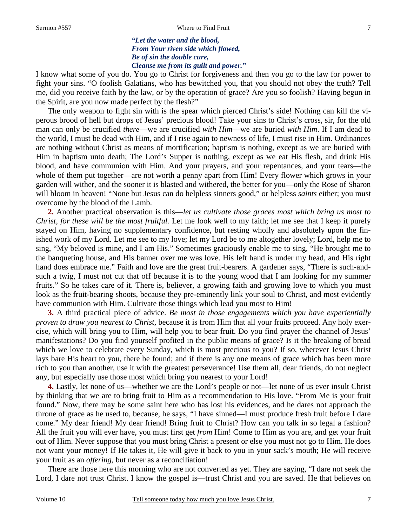7

*"Let the water and the blood, From Your riven side which flowed, Be of sin the double cure, Cleanse me from its guilt and power."* 

I know what some of you do. You go to Christ for forgiveness and then you go to the law for power to fight your sins. "O foolish Galatians, who has bewitched you, that you should not obey the truth? Tell me, did you receive faith by the law, or by the operation of grace? Are you so foolish? Having begun in the Spirit, are you now made perfect by the flesh?"

The only weapon to fight sin with is the spear which pierced Christ's side! Nothing can kill the viperous brood of hell but drops of Jesus' precious blood! Take your sins to Christ's cross, sir, for the old man can only be crucified *there*—we are crucified *with Him*—we are buried *with Him*. If I am dead to the world, I must be dead with Him, and if I rise again to newness of life, I must rise in Him. Ordinances are nothing without Christ as means of mortification; baptism is nothing, except as we are buried with Him in baptism unto death; The Lord's Supper is nothing, except as we eat His flesh, and drink His blood, and have communion with Him. And your prayers, and your repentances, and your tears—the whole of them put together—are not worth a penny apart from Him! Every flower which grows in your garden will wither, and the sooner it is blasted and withered, the better for you—only the Rose of Sharon will bloom in heaven! "None but Jesus can do helpless sinners good," or helpless *saints* either; you must overcome by the blood of the Lamb.

**2.** Another practical observation is this—*let us cultivate those graces most which bring us most to Christ, for these will be the most fruitful.* Let me look well to my faith; let me see that I keep it purely stayed on Him, having no supplementary confidence, but resting wholly and absolutely upon the finished work of my Lord. Let me see to my love; let my Lord be to me altogether lovely; Lord, help me to sing, "My beloved is mine, and I am His." Sometimes graciously enable me to sing, "He brought me to the banqueting house, and His banner over me was love. His left hand is under my head, and His right hand does embrace me." Faith and love are the great fruit-bearers. A gardener says, "There is such-andsuch a twig, I must not cut that off because it is to the young wood that I am looking for my summer fruits." So he takes care of it. There is, believer, a growing faith and growing love to which you must look as the fruit-bearing shoots, because they pre-eminently link your soul to Christ, and most evidently have communion with Him. Cultivate those things which lead you most to Him!

**3.** A third practical piece of advice. *Be most in those engagements which you have experientially proven to draw you nearest to Christ,* because it is from Him that all your fruits proceed. Any holy exercise, which will bring you to Him, will help you to bear fruit. Do you find prayer the channel of Jesus' manifestations? Do you find yourself profited in the public means of grace? Is it the breaking of bread which we love to celebrate every Sunday, which is most precious to you? If so, wherever Jesus Christ lays bare His heart to you, there be found; and if there is any one means of grace which has been more rich to you than another, use it with the greatest perseverance! Use them all, dear friends, do not neglect any, but especially use those most which bring you nearest to your Lord!

**4.** Lastly, let none of us—whether we are the Lord's people or not—let none of us ever insult Christ by thinking that we are to bring fruit to Him as a recommendation to His love. "From Me is your fruit found." Now, there may be some saint here who has lost his evidences, and he dares not approach the throne of grace as he used to, because, he says, "I have sinned—I must produce fresh fruit before I dare come." My dear friend! My dear friend! Bring fruit to Christ? How can you talk in so legal a fashion? All the fruit you will ever have, you must first get *from* Him! Come to Him as you are, and get your fruit out of Him. Never suppose that you must bring Christ a present or else you must not go to Him. He does not want your money! If He takes it, He will give it back to you in your sack's mouth; He will receive your fruit as an *offering*, but never as a reconciliation!

There are those here this morning who are not converted as yet. They are saying, "I dare not seek the Lord, I dare not trust Christ. I know the gospel is—trust Christ and you are saved. He that believes on